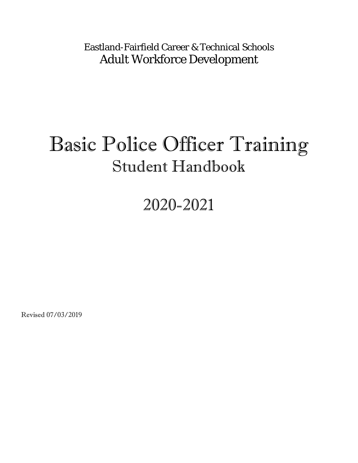Eastland-Fairfield Career & Technical Schools Adult Workforce Development

# Basic Police Officer Training Student Handbook

## 2020-2021

Revised 07/03/2019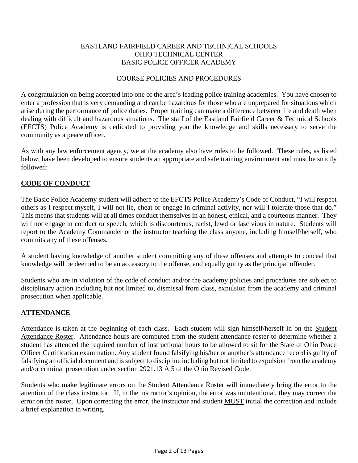#### EASTLAND FAIRFIELD CAREER AND TECHNICAL SCHOOLS OHIO TECHNICAL CENTER BASIC POLICE OFFICER ACADEMY

#### COURSE POLICIES AND PROCEDURES

A congratulation on being accepted into one of the area's leading police training academies. You have chosen to enter a profession that is very demanding and can be hazardous for those who are unprepared for situations which arise during the performance of police duties. Proper training can make a difference between life and death when dealing with difficult and hazardous situations. The staff of the Eastland Fairfield Career & Technical Schools (EFCTS) Police Academy is dedicated to providing you the knowledge and skills necessary to serve the community as a peace officer.

As with any law enforcement agency, we at the academy also have rules to be followed. These rules, as listed below, have been developed to ensure students an appropriate and safe training environment and must be strictly followed:

#### **CODE OF CONDUCT**

The Basic Police Academy student will adhere to the EFCTS Police Academy's Code of Conduct, "I will respect others as I respect myself, I will not lie, cheat or engage in criminal activity, nor will I tolerate those that do." This means that students will at all times conduct themselves in an honest, ethical, and a courteous manner. They will not engage in conduct or speech, which is discourteous, racist, lewd or lascivious in nature. Students will report to the Academy Commander or the instructor teaching the class anyone, including himself/herself, who commits any of these offenses.

A student having knowledge of another student committing any of these offenses and attempts to conceal that knowledge will be deemed to be an accessory to the offense, and equally guilty as the principal offender.

Students who are in violation of the code of conduct and/or the academy policies and procedures are subject to disciplinary action including but not limited to, dismissal from class, expulsion from the academy and criminal prosecution when applicable.

#### **ATTENDANCE**

Attendance is taken at the beginning of each class. Each student will sign himself/herself in on the Student Attendance Roster. Attendance hours are computed from the student attendance roster to determine whether a student has attended the required number of instructional hours to be allowed to sit for the State of Ohio Peace Officer Certification examination. Any student found falsifying his/her or another's attendance record is guilty of falsifying an official document and is subject to discipline including but not limited to expulsion from the academy and/or criminal prosecution under section 2921.13 A 5 of the Ohio Revised Code.

Students who make legitimate errors on the Student Attendance Roster will immediately bring the error to the attention of the class instructor. If, in the instructor's opinion, the error was unintentional, they may correct the error on the roster. Upon correcting the error, the instructor and student MUST initial the correction and include a brief explanation in writing.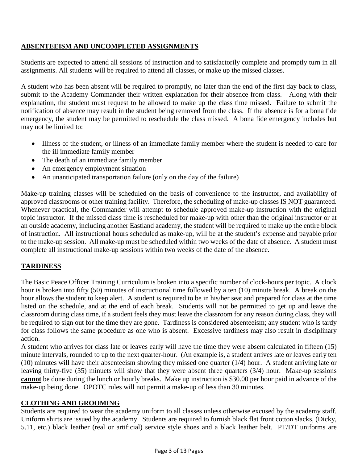#### **ABSENTEEISM AND UNCOMPLETED ASSIGNMENTS**

Students are expected to attend all sessions of instruction and to satisfactorily complete and promptly turn in all assignments. All students will be required to attend all classes, or make up the missed classes.

A student who has been absent will be required to promptly, no later than the end of the first day back to class, submit to the Academy Commander their written explanation for their absence from class. Along with their explanation, the student must request to be allowed to make up the class time missed. Failure to submit the notification of absence may result in the student being removed from the class. If the absence is for a bona fide emergency, the student may be permitted to reschedule the class missed. A bona fide emergency includes but may not be limited to:

- Illness of the student, or illness of an immediate family member where the student is needed to care for the ill immediate family member
- The death of an immediate family member
- An emergency employment situation
- An unanticipated transportation failure (only on the day of the failure)

Make-up training classes will be scheduled on the basis of convenience to the instructor, and availability of approved classrooms or other training facility. Therefore, the scheduling of make-up classes IS NOT guaranteed. Whenever practical, the Commander will attempt to schedule approved make-up instruction with the original topic instructor. If the missed class time is rescheduled for make-up with other than the original instructor or at an outside academy, including another Eastland academy, the student will be required to make up the entire block of instruction. All instructional hours scheduled as make-up, will be at the student's expense and payable prior to the make-up session. All make-up must be scheduled within two weeks of the date of absence. A student must complete all instructional make-up sessions within two weeks of the date of the absence.

#### **TARDINESS**

The Basic Peace Officer Training Curriculum is broken into a specific number of clock-hours per topic. A clock hour is broken into fifty (50) minutes of instructional time followed by a ten (10) minute break. A break on the hour allows the student to keep alert. A student is required to be in his/her seat and prepared for class at the time listed on the schedule, and at the end of each break. Students will not be permitted to get up and leave the classroom during class time, if a student feels they must leave the classroom for any reason during class, they will be required to sign out for the time they are gone. Tardiness is considered absenteeism; any student who is tardy for class follows the same procedure as one who is absent. Excessive tardiness may also result in disciplinary action.

A student who arrives for class late or leaves early will have the time they were absent calculated in fifteen (15) minute intervals, rounded to up to the next quarter-hour. (An example is, a student arrives late or leaves early ten (10) minutes will have their absenteeism showing they missed one quarter (1/4) hour. A student arriving late or leaving thirty-five (35) minuets will show that they were absent three quarters (3/4) hour. Make-up sessions **cannot** be done during the lunch or hourly breaks. Make up instruction is \$30.00 per hour paid in advance of the make-up being done. OPOTC rules will not permit a make-up of less than 30 minutes.

#### **CLOTHING AND GROOMING**

Students are required to wear the academy uniform to all classes unless otherwise excused by the academy staff. Uniform shirts are issued by the academy. Students are required to furnish black flat front cotton slacks, (Dicky, 5.11, etc.) black leather (real or artificial) service style shoes and a black leather belt. PT/DT uniforms are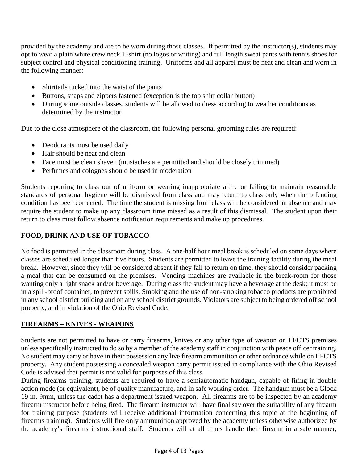provided by the academy and are to be worn during those classes. If permitted by the instructor(s), students may opt to wear a plain white crew neck T-shirt (no logos or writing) and full length sweat pants with tennis shoes for subject control and physical conditioning training. Uniforms and all apparel must be neat and clean and worn in the following manner:

- Shirttails tucked into the waist of the pants
- Buttons, snaps and zippers fastened (exception is the top shirt collar button)
- During some outside classes, students will be allowed to dress according to weather conditions as determined by the instructor

Due to the close atmosphere of the classroom, the following personal grooming rules are required:

- Deodorants must be used daily
- Hair should be neat and clean
- Face must be clean shaven (mustaches are permitted and should be closely trimmed)
- Perfumes and colognes should be used in moderation

Students reporting to class out of uniform or wearing inappropriate attire or failing to maintain reasonable standards of personal hygiene will be dismissed from class and may return to class only when the offending condition has been corrected. The time the student is missing from class will be considered an absence and may require the student to make up any classroom time missed as a result of this dismissal. The student upon their return to class must follow absence notification requirements and make up procedures.

#### **FOOD, DRINK AND USE OF TOBACCO**

No food is permitted in the classroom during class. A one-half hour meal break is scheduled on some days where classes are scheduled longer than five hours. Students are permitted to leave the training facility during the meal break. However, since they will be considered absent if they fail to return on time, they should consider packing a meal that can be consumed on the premises. Vending machines are available in the break-room for those wanting only a light snack and/or beverage. During class the student may have a beverage at the desk; it must be in a spill-proof container, to prevent spills. Smoking and the use of non-smoking tobacco products are prohibited in any school district building and on any school district grounds. Violators are subject to being ordered off school property, and in violation of the Ohio Revised Code.

#### **FIREARMS – KNIVES - WEAPONS**

Students are not permitted to have or carry firearms, knives or any other type of weapon on EFCTS premises unless specifically instructed to do so by a member of the academy staff in conjunction with peace officer training. No student may carry or have in their possession any live firearm ammunition or other ordnance while on EFCTS property. Any student possessing a concealed weapon carry permit issued in compliance with the Ohio Revised Code is advised that permit is not valid for purposes of this class.

During firearms training, students are required to have a semiautomatic handgun, capable of firing in double action mode (or equivalent), be of quality manufacture, and in safe working order. The handgun must be a Glock 19 in, 9mm, unless the cadet has a department issued weapon. All firearms are to be inspected by an academy firearm instructor before being fired. The firearm instructor will have final say over the suitability of any firearm for training purpose (students will receive additional information concerning this topic at the beginning of firearms training). Students will fire only ammunition approved by the academy unless otherwise authorized by the academy's firearms instructional staff. Students will at all times handle their firearm in a safe manner,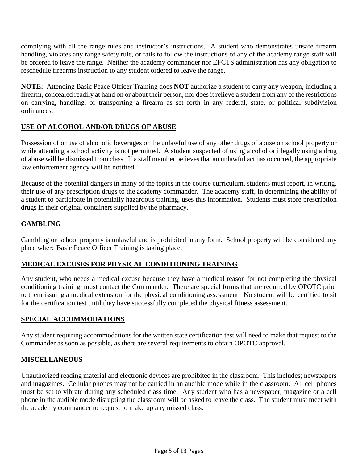complying with all the range rules and instructor's instructions. A student who demonstrates unsafe firearm handling, violates any range safety rule, or fails to follow the instructions of any of the academy range staff will be ordered to leave the range. Neither the academy commander nor EFCTS administration has any obligation to reschedule firearms instruction to any student ordered to leave the range.

**NOTE:** Attending Basic Peace Officer Training does **NOT** authorize a student to carry any weapon, including a firearm, concealed readily at hand on or about their person, nor does it relieve a student from any of the restrictions on carrying, handling, or transporting a firearm as set forth in any federal, state, or political subdivision ordinances.

#### **USE OF ALCOHOL AND/OR DRUGS OF ABUSE**

Possession of or use of alcoholic beverages or the unlawful use of any other drugs of abuse on school property or while attending a school activity is not permitted. A student suspected of using alcohol or illegally using a drug of abuse will be dismissed from class. If a staff member believes that an unlawful act has occurred, the appropriate law enforcement agency will be notified.

Because of the potential dangers in many of the topics in the course curriculum, students must report, in writing, their use of any prescription drugs to the academy commander. The academy staff, in determining the ability of a student to participate in potentially hazardous training, uses this information. Students must store prescription drugs in their original containers supplied by the pharmacy.

#### **GAMBLING**

Gambling on school property is unlawful and is prohibited in any form. School property will be considered any place where Basic Peace Officer Training is taking place.

#### **MEDICAL EXCUSES FOR PHYSICAL CONDITIONING TRAINING**

Any student, who needs a medical excuse because they have a medical reason for not completing the physical conditioning training, must contact the Commander. There are special forms that are required by OPOTC prior to them issuing a medical extension for the physical conditioning assessment. No student will be certified to sit for the certification test until they have successfully completed the physical fitness assessment.

#### **SPECIAL ACCOMMODATIONS**

Any student requiring accommodations for the written state certification test will need to make that request to the Commander as soon as possible, as there are several requirements to obtain OPOTC approval.

#### **MISCELLANEOUS**

Unauthorized reading material and electronic devices are prohibited in the classroom. This includes; newspapers and magazines. Cellular phones may not be carried in an audible mode while in the classroom. All cell phones must be set to vibrate during any scheduled class time. Any student who has a newspaper, magazine or a cell phone in the audible mode disrupting the classroom will be asked to leave the class. The student must meet with the academy commander to request to make up any missed class.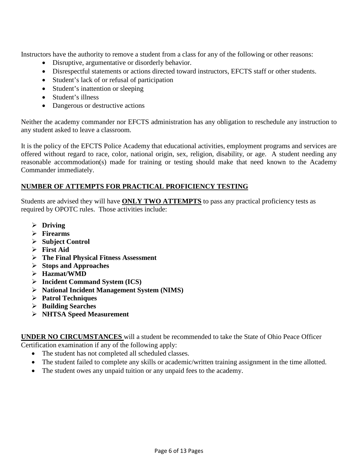Instructors have the authority to remove a student from a class for any of the following or other reasons:

- Disruptive, argumentative or disorderly behavior.
- Disrespectful statements or actions directed toward instructors, EFCTS staff or other students.
- Student's lack of or refusal of participation
- Student's inattention or sleeping
- Student's illness
- Dangerous or destructive actions

Neither the academy commander nor EFCTS administration has any obligation to reschedule any instruction to any student asked to leave a classroom.

It is the policy of the EFCTS Police Academy that educational activities, employment programs and services are offered without regard to race, color, national origin, sex, religion, disability, or age. A student needing any reasonable accommodation(s) made for training or testing should make that need known to the Academy Commander immediately.

#### **NUMBER OF ATTEMPTS FOR PRACTICAL PROFICIENCY TESTING**

Students are advised they will have **ONLY TWO ATTEMPTS** to pass any practical proficiency tests as required by OPOTC rules. Those activities include:

- **Driving**
- **Firearms**
- **Subject Control**
- **First Aid**
- **The Final Physical Fitness Assessment**
- **Stops and Approaches**
- **Hazmat/WMD**
- **Incident Command System (ICS)**
- **National Incident Management System (NIMS)**
- **Patrol Techniques**
- **Building Searches**
- **NHTSA Speed Measurement**

**UNDER NO CIRCUMSTANCES** will a student be recommended to take the State of Ohio Peace Officer Certification examination if any of the following apply:

- The student has not completed all scheduled classes.
- The student failed to complete any skills or academic/written training assignment in the time allotted.
- The student owes any unpaid tuition or any unpaid fees to the academy.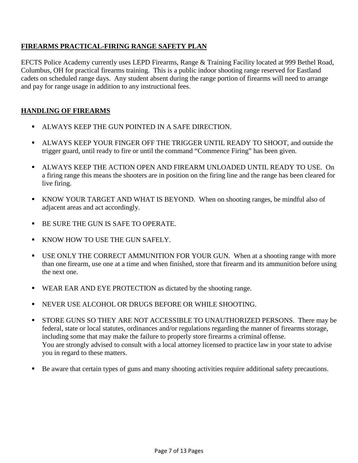#### **FIREARMS PRACTICAL-FIRING RANGE SAFETY PLAN**

EFCTS Police Academy currently uses LEPD Firearms, Range & Training Facility located at 999 Bethel Road, Columbus, OH for practical firearms training. This is a public indoor shooting range reserved for Eastland cadets on scheduled range days. Any student absent during the range portion of firearms will need to arrange and pay for range usage in addition to any instructional fees.

#### **HANDLING OF FIREARMS**

- **ALWAYS KEEP THE GUN POINTED IN A SAFE DIRECTION.**
- ALWAYS KEEP YOUR FINGER OFF THE TRIGGER UNTIL READY TO SHOOT, and outside the trigger guard, until ready to fire or until the command "Commence Firing" has been given.
- ALWAYS KEEP THE ACTION OPEN AND FIREARM UNLOADED UNTIL READY TO USE. On a firing range this means the shooters are in position on the firing line and the range has been cleared for live firing.
- KNOW YOUR TARGET AND WHAT IS BEYOND. When on shooting ranges, be mindful also of adjacent areas and act accordingly.
- **BE SURE THE GUN IS SAFE TO OPERATE.**
- **KNOW HOW TO USE THE GUN SAFELY.**
- USE ONLY THE CORRECT AMMUNITION FOR YOUR GUN. When at a shooting range with more than one firearm, use one at a time and when finished, store that firearm and its ammunition before using the next one.
- **WEAR EAR AND EYE PROTECTION** as dictated by the shooting range.
- NEVER USE ALCOHOL OR DRUGS BEFORE OR WHILE SHOOTING.
- **STORE GUNS SO THEY ARE NOT ACCESSIBLE TO UNAUTHORIZED PERSONS.** There may be federal, state or local statutes, ordinances and/or regulations regarding the manner of firearms storage, including some that may make the failure to properly store firearms a criminal offense. You are strongly advised to consult with a local attorney licensed to practice law in your state to advise you in regard to these matters.
- Be aware that certain types of guns and many shooting activities require additional safety precautions.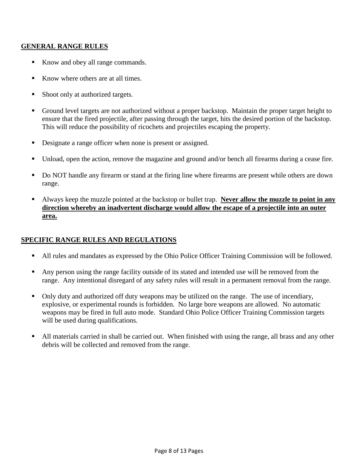#### **GENERAL RANGE RULES**

- Know and obey all range commands.
- Know where others are at all times.
- Shoot only at authorized targets.
- Ground level targets are not authorized without a proper backstop. Maintain the proper target height to ensure that the fired projectile, after passing through the target, hits the desired portion of the backstop. This will reduce the possibility of ricochets and projectiles escaping the property.
- Designate a range officer when none is present or assigned.
- Unload, open the action, remove the magazine and ground and/or bench all firearms during a cease fire.
- Do NOT handle any firearm or stand at the firing line where firearms are present while others are down range.
- Always keep the muzzle pointed at the backstop or bullet trap. **Never allow the muzzle to point in any direction whereby an inadvertent discharge would allow the escape of a projectile into an outer area.**

#### **SPECIFIC RANGE RULES AND REGULATIONS**

- All rules and mandates as expressed by the Ohio Police Officer Training Commission will be followed.
- Any person using the range facility outside of its stated and intended use will be removed from the range. Any intentional disregard of any safety rules will result in a permanent removal from the range.
- Only duty and authorized off duty weapons may be utilized on the range. The use of incendiary, explosive, or experimental rounds is forbidden. No large bore weapons are allowed. No automatic weapons may be fired in full auto mode. Standard Ohio Police Officer Training Commission targets will be used during qualifications.
- All materials carried in shall be carried out. When finished with using the range, all brass and any other debris will be collected and removed from the range.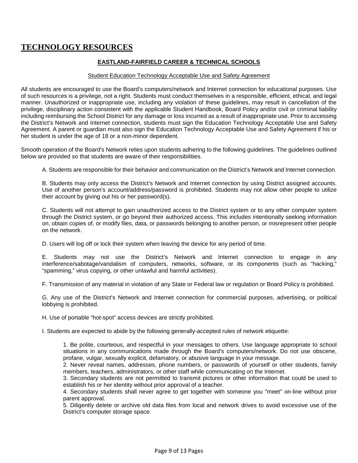## **TECHNOLOGY RESOURCES**

#### **EASTLAND-FAIRFIELD CAREER & TECHNICAL SCHOOLS**

#### Student Education Technology Acceptable Use and Safety Agreement

All students are encouraged to use the Board's computers/network and Internet connection for educational purposes. Use of such resources is a privilege, not a right. Students must conduct themselves in a responsible, efficient, ethical, and legal manner. Unauthorized or inappropriate use, including any violation of these guidelines, may result in cancellation of the privilege, disciplinary action consistent with the applicable Student Handbook, Board Policy and/or civil or criminal liability including reimbursing the School District for any damage or loss incurred as a result of inappropriate use. Prior to accessing the District's Network and Internet connection, students must sign the Education Technology Acceptable Use and Safety Agreement. A parent or guardian must also sign the Education Technology Acceptable Use and Safety Agreement if his or her student is under the age of 18 or a non-minor dependent.

Smooth operation of the Board's Network relies upon students adhering to the following guidelines. The guidelines outlined below are provided so that students are aware of their responsibilities.

A. Students are responsible for their behavior and communication on the District's Network and Internet connection.

B. Students may only access the District's Network and Internet connection by using District assigned accounts. Use of another person's account/address/password is prohibited. Students may not allow other people to utilize their account by giving out his or her password(s).

C. Students will not attempt to gain unauthorized access to the District system or to any other computer system through the District system, or go beyond their authorized access. This includes intentionally seeking information on, obtain copies of, or modify files, data, or passwords belonging to another person, or misrepresent other people on the network.

D. Users will log off or lock their system when leaving the device for any period of time.

E. Students may not use the District's Network and Internet connection to engage in any interference/sabotage/vandalism of computers, networks, software, or its components (such as "hacking," "spamming," virus copying, or other unlawful and harmful activities).

F. Transmission of any material in violation of any State or Federal law or regulation or Board Policy is prohibited.

G. Any use of the District's Network and Internet connection for commercial purposes, advertising, or political lobbying is prohibited.

H. Use of portable "hot-spot" access devices are strictly prohibited.

I. Students are expected to abide by the following generally-accepted rules of network etiquette:

1. Be polite, courteous, and respectful in your messages to others. Use language appropriate to school situations in any communications made through the Board's computers/network. Do not use obscene, profane, vulgar, sexually explicit, defamatory, or abusive language in your message.

2. Never reveal names, addresses, phone numbers, or passwords of yourself or other students, family members, teachers, administrators, or other staff while communicating on the Internet.

3. Secondary students are not permitted to transmit pictures or other information that could be used to establish his or her identity without prior approval of a teacher.

4. Secondary students shall never agree to get together with someone you "meet" on-line without prior parent approval.

5. Diligently delete or archive old data files from local and network drives to avoid excessive use of the District's computer storage space.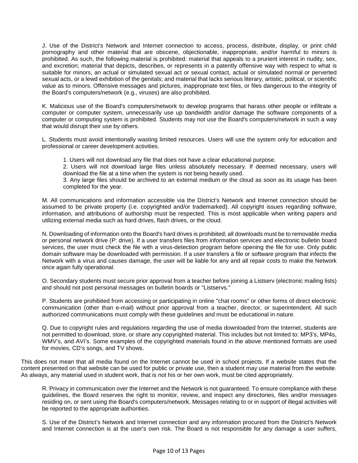J. Use of the District's Network and Internet connection to access, process, distribute, display, or print child pornography and other material that are obscene, objectionable, inappropriate, and/or harmful to minors is prohibited. As such, the following material is prohibited: material that appeals to a prurient interest in nudity, sex, and excretion; material that depicts, describes, or represents in a patently offensive way with respect to what is suitable for minors, an actual or simulated sexual act or sexual contact, actual or simulated normal or perverted sexual acts, or a lewd exhibition of the genitals; and material that lacks serious literary, artistic, political, or scientific value as to minors. Offensive messages and pictures, inappropriate text files, or files dangerous to the integrity of the Board's computers/network (e.g., viruses) are also prohibited.

K. Malicious use of the Board's computers/network to develop programs that harass other people or infiltrate a computer or computer system, unnecessarily use up bandwidth and/or damage the software components of a computer or computing system is prohibited. Students may not use the Board's computers/network in such a way that would disrupt their use by others.

L. Students must avoid intentionally wasting limited resources. Users will use the system only for education and professional or career development activities.

1. Users will not download any file that does not have a clear educational purpose.

2. Users will not download large files unless absolutely necessary. If deemed necessary, users will download the file at a time when the system is not being heavily used.

3. Any large files should be archived to an external medium or the cloud as soon as its usage has been completed for the year.

M. All communications and information accessible via the District's Network and Internet connection should be assumed to be private property (i.e. copyrighted and/or trademarked). All copyright issues regarding software, information, and attributions of authorship must be respected. This is most applicable when writing papers and utilizing external media such as hard drives, flash drives, or the cloud.

N. Downloading of information onto the Board's hard drives is prohibited; all downloads must be to removable media or personal network drive (P: drive). If a user transfers files from information services and electronic bulletin board services, the user must check the file with a virus-detection program before opening the file for use. Only public domain software may be downloaded with permission. If a user transfers a file or software program that infects the Network with a virus and causes damage, the user will be liable for any and all repair costs to make the Network once again fully operational.

O. Secondary students must secure prior approval from a teacher before joining a Listserv (electronic mailing lists) and should not post personal messages on bulletin boards or "Listservs."

P. Students are prohibited from accessing or participating in online "chat rooms" or other forms of direct electronic communication (other than e-mail) without prior approval from a teacher, director, or superintendent. All such authorized communications must comply with these guidelines and must be educational in nature.

Q. Due to copyright rules and regulations regarding the use of media downloaded from the Internet, students are not permitted to download, store, or share any copyrighted material. This includes but not limited to: MP3's, MP4s, WMV's, and AVI's. Some examples of the copyrighted materials found in the above mentioned formats are used for movies, CD's songs, and TV shows.

This does not mean that all media found on the Internet cannot be used in school projects. If a website states that the content presented on that website can be used for public or private use, then a student may use material from the website. As always, any material used in student work, that is not his or her own work, must be cited appropriately.

R. Privacy in communication over the Internet and the Network is not guaranteed. To ensure compliance with these guidelines, the Board reserves the right to monitor, review, and inspect any directories, files and/or messages residing on, or sent using the Board's computers/network. Messages relating to or in support of illegal activities will be reported to the appropriate authorities.

S. Use of the District's Network and Internet connection and any information procured from the District's Network and Internet connection is at the user's own risk. The Board is not responsible for any damage a user suffers,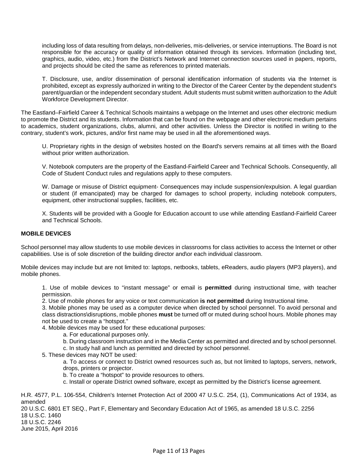including loss of data resulting from delays, non-deliveries, mis-deliveries, or service interruptions. The Board is not responsible for the accuracy or quality of information obtained through its services. Information (including text, graphics, audio, video, etc.) from the District's Network and Internet connection sources used in papers, reports, and projects should be cited the same as references to printed materials.

T. Disclosure, use, and/or dissemination of personal identification information of students via the Internet is prohibited, except as expressly authorized in writing to the Director of the Career Center by the dependent student's parent/guardian or the independent secondary student. Adult students must submit written authorization to the Adult Workforce Development Director.

The Eastland–Fairfield Career & Technical Schools maintains a webpage on the Internet and uses other electronic medium to promote the District and its students. Information that can be found on the webpage and other electronic medium pertains to academics, student organizations, clubs, alumni, and other activities. Unless the Director is notified in writing to the contrary, student's work, pictures, and/or first name may be used in all the aforementioned ways.

U. Proprietary rights in the design of websites hosted on the Board's servers remains at all times with the Board without prior written authorization.

V. Notebook computers are the property of the Eastland-Fairfield Career and Technical Schools. Consequently, all Code of Student Conduct rules and regulations apply to these computers.

W. Damage or misuse of District equipment- Consequences may include suspension/expulsion. A legal guardian or student (if emancipated) may be charged for damages to school property, including notebook computers, equipment, other instructional supplies, facilities, etc.

X. Students will be provided with a Google for Education account to use while attending Eastland-Fairfield Career and Technical Schools.

#### **MOBILE DEVICES**

School personnel may allow students to use mobile devices in classrooms for class activities to access the Internet or other capabilities. Use is of sole discretion of the building director and\or each individual classroom.

Mobile devices may include but are not limited to: laptops, netbooks, tablets, eReaders, audio players (MP3 players), and mobile phones.

1. Use of mobile devices to "instant message" or email is **permitted** during instructional time, with teacher permission.

2. Use of mobile phones for any voice or text communication **is not permitted** during Instructional time.

3. Mobile phones may be used as a computer device when directed by school personnel. To avoid personal and class distractions\disruptions, mobile phones **must** be turned off or muted during school hours. Mobile phones may not be used to create a "hotspot."

4. Mobile devices may be used for these educational purposes:

- a. For educational purposes only.
- b. During classroom instruction and in the Media Center as permitted and directed and by school personnel.
- c. In study hall and lunch as permitted and directed by school personnel.
- 5. These devices may NOT be used:

a. To access or connect to District owned resources such as, but not limited to laptops, servers, network, drops, printers or projector.

b. To create a "hotspot" to provide resources to others.

c. Install or operate District owned software, except as permitted by the District's license agreement.

H.R. 4577, P.L. 106-554, Children's Internet Protection Act of 2000 47 U.S.C. 254, (1), Communications Act of 1934, as amended 20 U.S.C. 6801 ET SEQ., Part F, Elementary and Secondary Education Act of 1965, as amended 18 U.S.C. 2256 18 U.S.C. 1460 18 U.S.C. 2246 June 2015, April 2016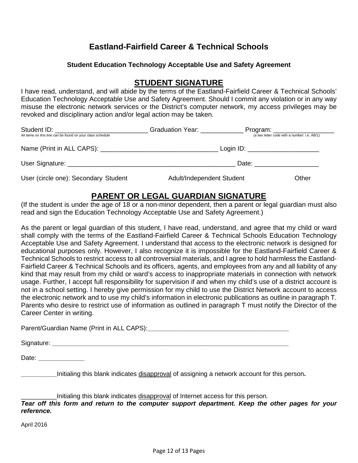## **Eastland-Fairfield Career & Technical Schools**

#### **Student Education Technology Acceptable Use and Safety Agreement**

## **STUDENT SIGNATURE**

I have read, understand, and will abide by the terms of the Eastland-Fairfield Career & Technical Schools' Education Technology Acceptable Use and Safety Agreement. Should I commit any violation or in any way misuse the electronic network services or the District's computer network, my access privileges may be revoked and disciplinary action and/or legal action may be taken.

| Student ID: __________________________<br>All items on this line can be found on your class schedule | Graduation Year:                   | Program: ____________________<br>(a two letter code with a number: i.e. AB/1) |
|------------------------------------------------------------------------------------------------------|------------------------------------|-------------------------------------------------------------------------------|
|                                                                                                      | Login ID: ________________________ |                                                                               |
|                                                                                                      | Date:                              |                                                                               |
| User (circle one): Secondary Student                                                                 | Adult/Independent Student          | Other                                                                         |

## **PARENT OR LEGAL GUARDIAN SIGNATURE**

(If the student is under the age of 18 or a non-minor dependent, then a parent or legal guardian must also read and sign the Education Technology Acceptable Use and Safety Agreement.)

As the parent or legal guardian of this student, I have read, understand, and agree that my child or ward shall comply with the terms of the Eastland-Fairfield Career & Technical Schools Education Technology Acceptable Use and Safety Agreement. I understand that access to the electronic network is designed for educational purposes only. However, I also recognize it is impossible for the Eastland-Fairfield Career & Technical Schools to restrict access to all controversial materials, and I agree to hold harmless the Eastland-Fairfield Career & Technical Schools and its officers, agents, and employees from any and all liability of any kind that may result from my child or ward's access to inappropriate materials in connection with network usage. Further, I accept full responsibility for supervision if and when my child's use of a district account is not in a school setting. I hereby give permission for my child to use the District Network account to access the electronic network and to use my child's information in electronic publications as outline in paragraph T. Parents who desire to restrict use of information as outlined in paragraph T must notify the Director of the Career Center in writing.

Parent/Guardian Name (Print in ALL CAPS):\_\_\_\_\_\_\_\_\_\_\_\_\_\_\_\_\_\_\_\_\_\_\_\_\_\_\_\_\_\_\_\_\_\_\_\_\_\_\_\_\_\_\_\_\_\_\_\_\_\_\_\_\_\_\_\_\_\_\_\_\_\_\_\_\_\_\_

Signature: \_\_\_\_\_\_\_\_\_\_\_\_\_\_\_\_\_\_\_\_\_\_\_\_\_\_\_\_\_\_\_\_\_\_\_\_\_\_\_\_\_\_\_\_\_\_\_\_\_\_\_\_\_\_\_\_\_\_\_\_\_\_\_\_\_\_\_\_\_\_\_\_\_\_\_\_\_\_\_\_\_\_\_\_\_\_\_\_\_\_\_\_\_\_\_\_\_\_\_\_\_\_\_\_\_\_\_\_\_\_\_\_

Date:  $\Box$ 

\_\_\_\_\_\_\_\_\_\_\_\_\_\_\_\_\_Initialing this blank indicates disapproval of assigning a network account for this person**.** 

Initialing this blank indicates disapproval of Internet access for this person.

*Tear off this form and return to the computer support department. Keep the other pages for your reference.* 

April 2016